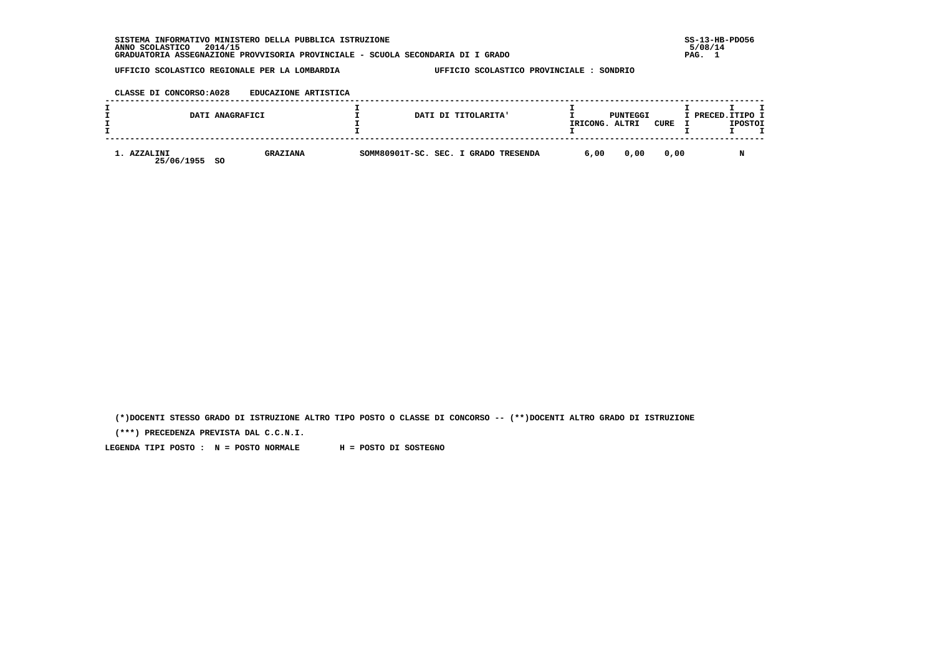**SISTEMA INFORMATIVO MINISTERO DELLA PUBBLICA ISTRUZIONE SS-13-HB-PDO56 ANNO SCOLASTICO 2014/15 5/08/14 GRADUATORIA ASSEGNAZIONE PROVVISORIA PROVINCIALE - SCUOLA SECONDARIA DI I GRADO PAG. 1**

 **UFFICIO SCOLASTICO REGIONALE PER LA LOMBARDIA UFFICIO SCOLASTICO PROVINCIALE : SONDRIO**

### **CLASSE DI CONCORSO:A028 EDUCAZIONE ARTISTICA**

|                           | DATI ANAGRAFICI              | DATI DI TITOLARITA'                  | IRICONG. | PUNTEGGI<br>ALTRI | CURE | I PRECED. ITIPO I | <b>IPOSTOI</b> |  |
|---------------------------|------------------------------|--------------------------------------|----------|-------------------|------|-------------------|----------------|--|
| 1. AZZALINI<br>25/06/1955 | <b>GRAZIANA</b><br><b>SO</b> | SOMM80901T-SC. SEC. I GRADO TRESENDA | 6,00     | 0.00              | 0.00 |                   |                |  |

 **(\*)DOCENTI STESSO GRADO DI ISTRUZIONE ALTRO TIPO POSTO O CLASSE DI CONCORSO -- (\*\*)DOCENTI ALTRO GRADO DI ISTRUZIONE**

 **(\*\*\*) PRECEDENZA PREVISTA DAL C.C.N.I.**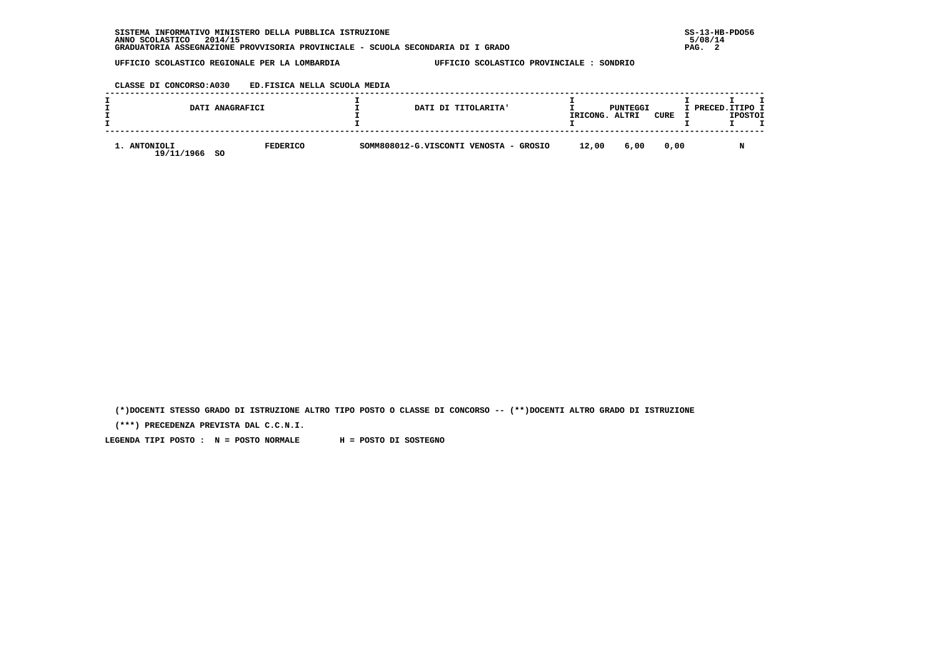### **CLASSE DI CONCORSO:A030 ED.FISICA NELLA SCUOLA MEDIA**

|                            | DATI ANAGRAFICI        | DATI DI TITOLARITA'                    | IRICONG. | PUNTEGGI<br>ALTRI | CURE | I PRECED.ITIPO I | <b>IPOSTOI</b> |  |
|----------------------------|------------------------|----------------------------------------|----------|-------------------|------|------------------|----------------|--|
| 1. ANTONIOLI<br>19/11/1966 | <b>FEDERICO</b><br>-SO | SOMM808012-G.VISCONTI VENOSTA - GROSIO | 12,00    | 6,00              | 0.00 |                  |                |  |

 **(\*)DOCENTI STESSO GRADO DI ISTRUZIONE ALTRO TIPO POSTO O CLASSE DI CONCORSO -- (\*\*)DOCENTI ALTRO GRADO DI ISTRUZIONE**

 **(\*\*\*) PRECEDENZA PREVISTA DAL C.C.N.I.**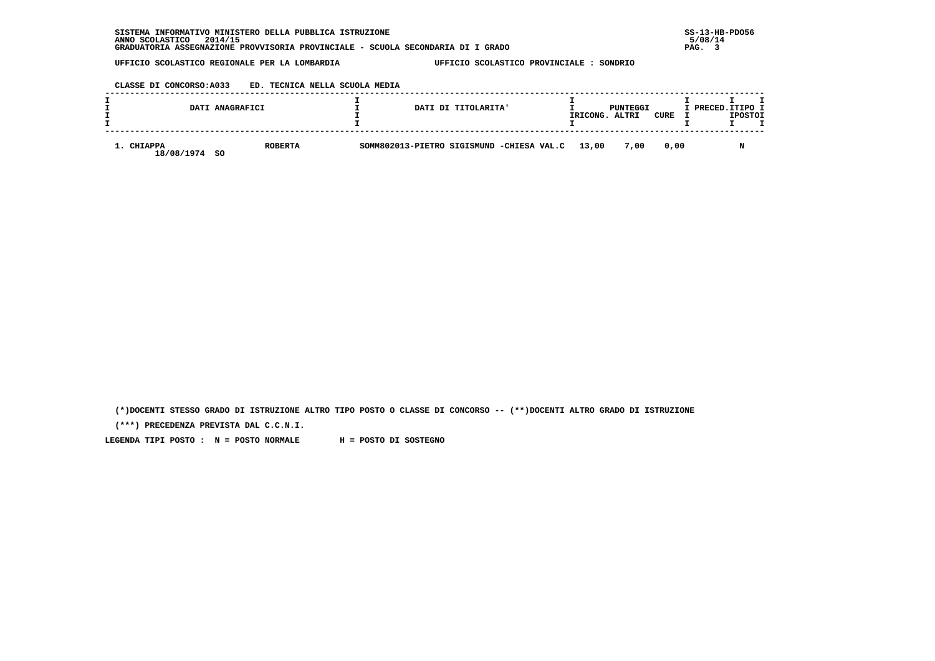# **CLASSE DI CONCORSO:A033 ED. TECNICA NELLA SCUOLA MEDIA**

|                          | DATI ANAGRAFICI       | DATI DI TITOLARITA'                       | IRICONG. | PUNTEGGI<br>ALTRI | CURE | I PRECED.ITIPO I | <b>IPOSTOI</b> |  |
|--------------------------|-----------------------|-------------------------------------------|----------|-------------------|------|------------------|----------------|--|
| 1. CHIAPPA<br>18/08/1974 | <b>ROBERTA</b><br>-SO | SOMM802013-PIETRO SIGISMUND -CHIESA VAL.C | 13,00    | 7,00              | 0.00 |                  |                |  |

 **(\*)DOCENTI STESSO GRADO DI ISTRUZIONE ALTRO TIPO POSTO O CLASSE DI CONCORSO -- (\*\*)DOCENTI ALTRO GRADO DI ISTRUZIONE**

 **(\*\*\*) PRECEDENZA PREVISTA DAL C.C.N.I.**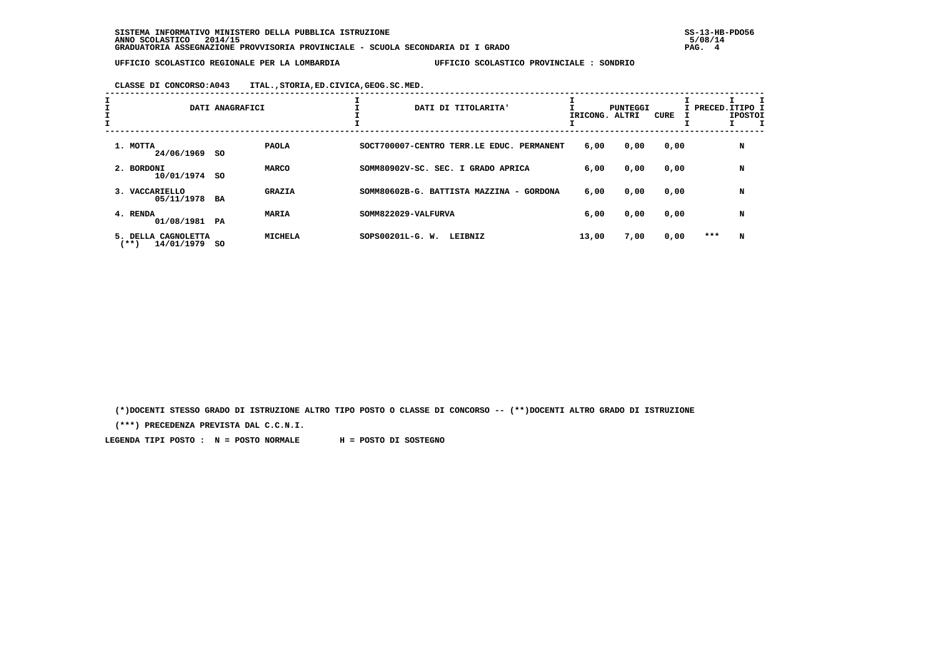**CLASSE DI CONCORSO:A043 ITAL.,STORIA,ED.CIVICA,GEOG.SC.MED.**

| <b>L</b><br>I | DATI ANAGRAFICI                                     |      | ᅩ              | DATI DI TITOLARITA'                       | IRICONG. | PUNTEGGI<br>ALTRI | CURE |     | I PRECED.ITIPO I<br><b>IPOSTOI</b> |  |
|---------------|-----------------------------------------------------|------|----------------|-------------------------------------------|----------|-------------------|------|-----|------------------------------------|--|
|               | 1. MOTTA<br>24/06/1969                              | so   | <b>PAOLA</b>   | SOCT700007-CENTRO TERR.LE EDUC. PERMANENT | 6,00     | 0,00              | 0,00 |     | N                                  |  |
|               | 2. BORDONI<br>10/01/1974                            | - SO | MARCO          | SOMM80902V-SC. SEC. I GRADO APRICA        | 6,00     | 0,00              | 0,00 |     | N                                  |  |
|               | 3. VACCARIELLO<br>05/11/1978                        | BA   | <b>GRAZIA</b>  | SOMM80602B-G. BATTISTA MAZZINA - GORDONA  | 6,00     | 0,00              | 0,00 |     | N                                  |  |
|               | 4. RENDA<br>01/08/1981 PA                           |      | MARIA          | SOMM822029-VALFURVA                       | 6,00     | 0,00              | 0,00 |     | N                                  |  |
|               | <b>CAGNOLETTA</b><br>5. DELLA<br>(**)<br>14/01/1979 | so   | <b>MICHELA</b> | $SOPS00201L-G. W.$<br>LEIBNIZ             | 13,00    | 7,00              | 0,00 | *** | N                                  |  |

 **(\*)DOCENTI STESSO GRADO DI ISTRUZIONE ALTRO TIPO POSTO O CLASSE DI CONCORSO -- (\*\*)DOCENTI ALTRO GRADO DI ISTRUZIONE**

 **(\*\*\*) PRECEDENZA PREVISTA DAL C.C.N.I.**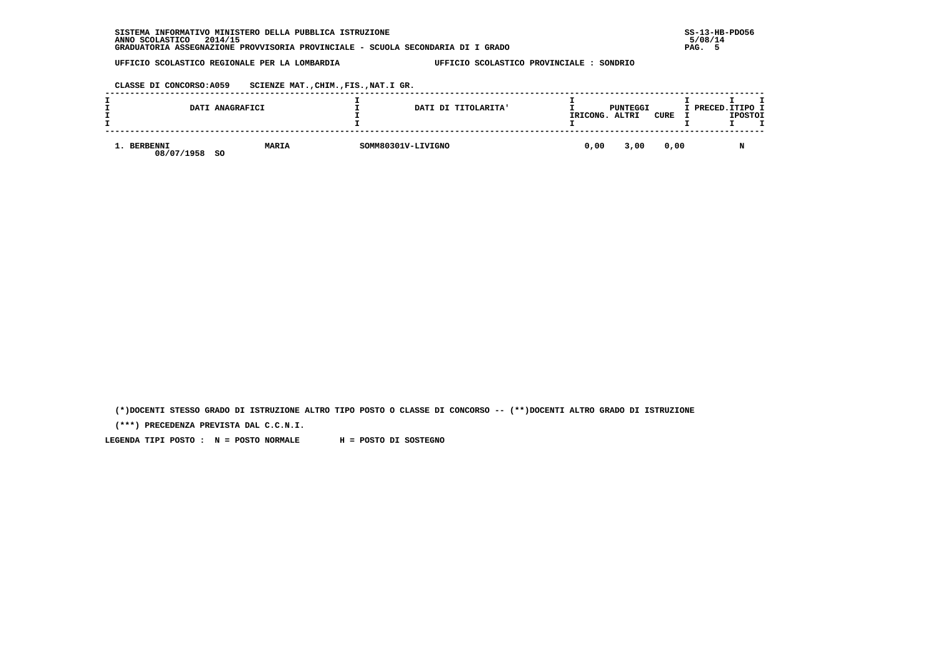| INFORMATIVO MINISTERO DELLA PUBBLICA ISTRUZIONE<br><b>SISTEMA</b>               | $SS-13-HE$ |
|---------------------------------------------------------------------------------|------------|
| 2014/15<br>ANNO SCOLASTICO                                                      | 5/08/14    |
| GRADUATORIA ASSEGNAZIONE PROVVISORIA PROVINCIALE - SCUOLA SECONDARIA DI I GRADO | PAG.       |

 **CLASSE DI CONCORSO:A059 SCIENZE MAT.,CHIM.,FIS.,NAT.I GR.**

|          |            | DATI ANAGRAFICI    | DATI DI TITOLARITA' | IRICONG. | PUNTEGGI<br>ALTRI | <b>CURE</b> | I PRECED. ITIPO I | <b>IPOSTOI</b> |
|----------|------------|--------------------|---------------------|----------|-------------------|-------------|-------------------|----------------|
| BERBENNI | 08/07/1958 | <b>MARIA</b><br>SO | SOMM80301V-LIVIGNO  | 0,00     | 3,00              | 0,00        |                   |                |

 **(\*)DOCENTI STESSO GRADO DI ISTRUZIONE ALTRO TIPO POSTO O CLASSE DI CONCORSO -- (\*\*)DOCENTI ALTRO GRADO DI ISTRUZIONE**

 **(\*\*\*) PRECEDENZA PREVISTA DAL C.C.N.I.**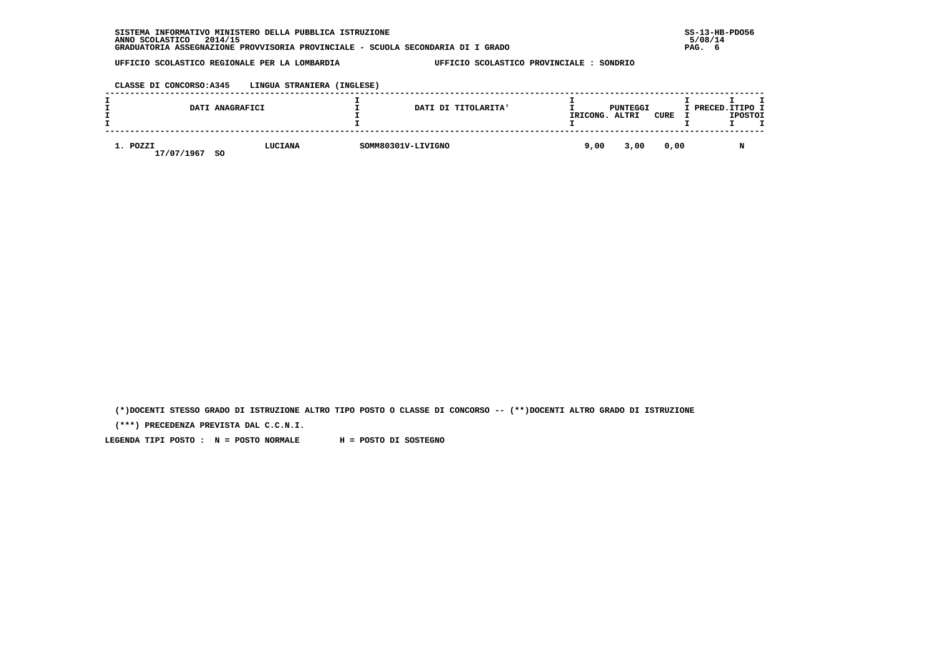| INFORMATIVO MINISTERO DELLA PUBBLICA ISTRUZIONE<br><b>SISTEMA</b>               | $SS-13-HE$ |
|---------------------------------------------------------------------------------|------------|
| 2014/15<br>ANNO SCOLASTICO                                                      | 5/08/14    |
| GRADUATORIA ASSEGNAZIONE PROVVISORIA PROVINCIALE - SCUOLA SECONDARIA DI I GRADO | PAG.       |

 **CLASSE DI CONCORSO:A345 LINGUA STRANIERA (INGLESE)**

|                                                | DATI ANAGRAFICI |                    | DATI DI TITOLARITA' | IRICONG. | PUNTEGGI<br>ALTRI | CURE | <b>T PRECED.ITIPO I</b> | <b>IPOSTOI</b> |  |
|------------------------------------------------|-----------------|--------------------|---------------------|----------|-------------------|------|-------------------------|----------------|--|
| 1. POZZI<br>LUCIANA<br>17/07/1967<br><b>SO</b> |                 | SOMM80301V-LIVIGNO | 9,00                | 3,00     | 0,00              |      |                         |                |  |

 **(\*)DOCENTI STESSO GRADO DI ISTRUZIONE ALTRO TIPO POSTO O CLASSE DI CONCORSO -- (\*\*)DOCENTI ALTRO GRADO DI ISTRUZIONE**

 **(\*\*\*) PRECEDENZA PREVISTA DAL C.C.N.I.**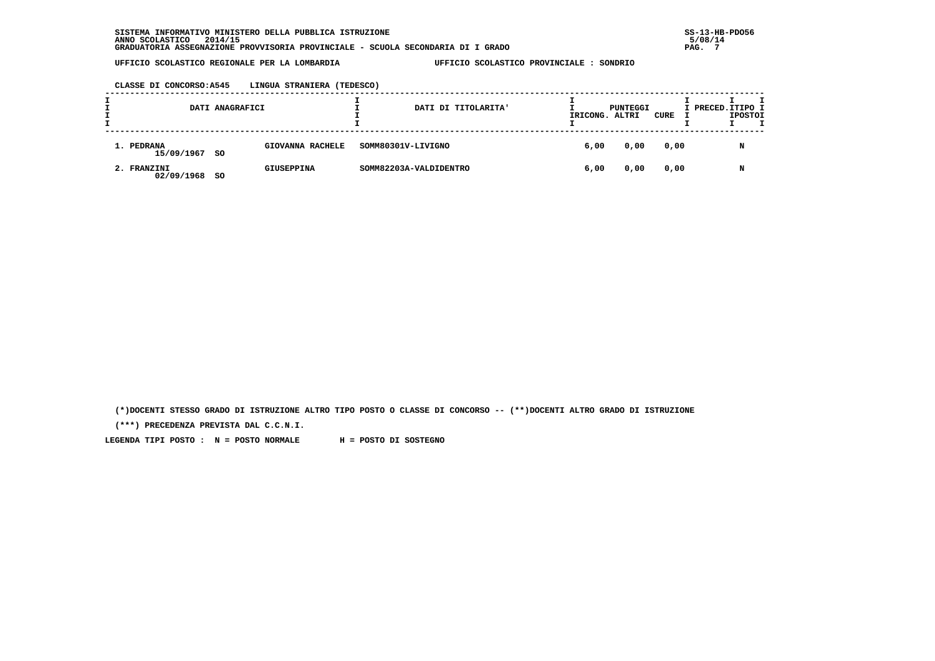**CLASSE DI CONCORSO:A545 LINGUA STRANIERA (TEDESCO)**

|                             | DATI ANAGRAFICI |                   |                    | DATI DI TITOLARITA'    | IRICONG. ALTRI | PUNTEGGI | CURE | I PRECED. ITIPO I | <b>IPOSTOI</b> | T |
|-----------------------------|-----------------|-------------------|--------------------|------------------------|----------------|----------|------|-------------------|----------------|---|
| 1. PEDRANA<br>15/09/1967 SO |                 | GIOVANNA RACHELE  | SOMM80301V-LIVIGNO |                        | 6,00           | 0,00     | 0,00 |                   | N              |   |
| 2. FRANZINI<br>02/09/1968   | -SO             | <b>GIUSEPPINA</b> |                    | SOMM82203A-VALDIDENTRO | 6,00           | 0,00     | 0,00 |                   | N              |   |

 **(\*)DOCENTI STESSO GRADO DI ISTRUZIONE ALTRO TIPO POSTO O CLASSE DI CONCORSO -- (\*\*)DOCENTI ALTRO GRADO DI ISTRUZIONE**

 **(\*\*\*) PRECEDENZA PREVISTA DAL C.C.N.I.**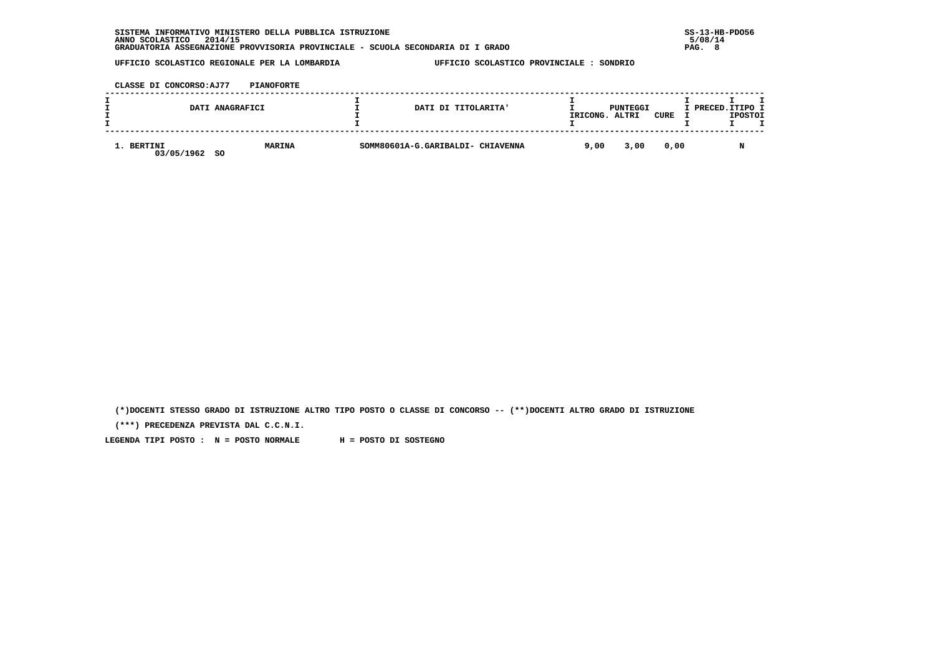| INFORMATIVO MINISTERO DELLA PUBBLICA ISTRUZIONE<br><b>SISTEMA</b>               | $SS-13-HE$ |
|---------------------------------------------------------------------------------|------------|
| 2014/15<br>ANNO SCOLASTICO                                                      | 5/08/14    |
| GRADUATORIA ASSEGNAZIONE PROVVISORIA PROVINCIALE - SCUOLA SECONDARIA DI I GRADO | PAG.       |

 **CLASSE DI CONCORSO:AJ77 PIANOFORTE**

|                          | DATI ANAGRAFICI            | DATI DI TITOLARITA'               | IRICONG. | PUNTEGGI<br>ALTRI | <b>CURE</b> | I PRECED.ITIPO I | <b>IPOSTOI</b> |  |
|--------------------------|----------------------------|-----------------------------------|----------|-------------------|-------------|------------------|----------------|--|
| 1. BERTINI<br>03/05/1962 | <b>MARINA</b><br><b>SO</b> | SOMM80601A-G.GARIBALDI- CHIAVENNA | 9,00     | 3,00              | 0,00        |                  |                |  |

 **(\*)DOCENTI STESSO GRADO DI ISTRUZIONE ALTRO TIPO POSTO O CLASSE DI CONCORSO -- (\*\*)DOCENTI ALTRO GRADO DI ISTRUZIONE**

 **(\*\*\*) PRECEDENZA PREVISTA DAL C.C.N.I.**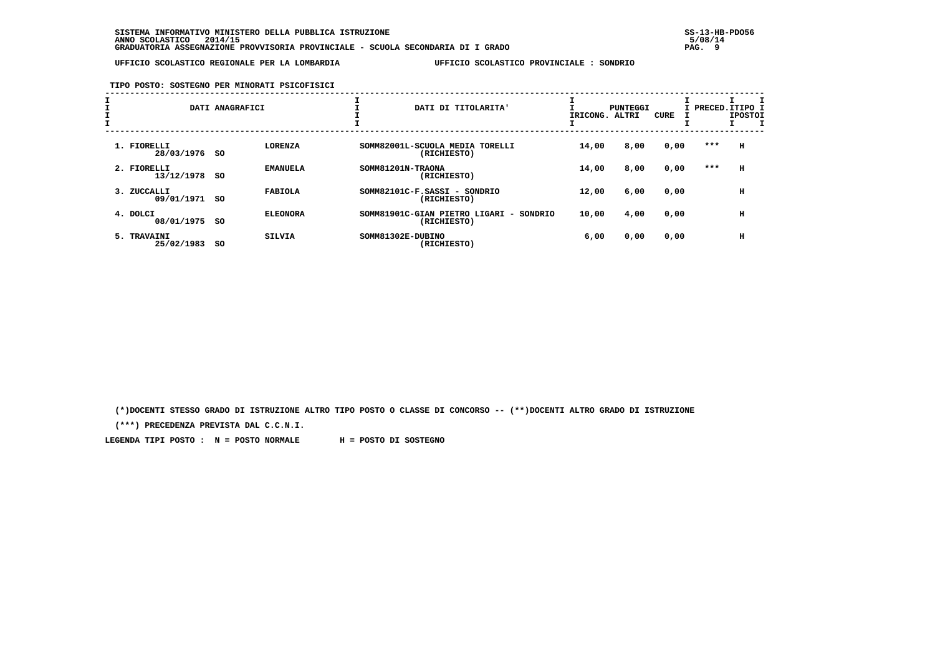**TIPO POSTO: SOSTEGNO PER MINORATI PSICOFISICI**

| ᅩ |                              | DATI ANAGRAFICI              | DATI DI TITOLARITA'                                                                 | IRICONG. | PUNTEGGI<br>ALTRI | <b>CURE</b> |       | I PRECED.ITIPO I<br><b>IPOSTOI</b> |  |
|---|------------------------------|------------------------------|-------------------------------------------------------------------------------------|----------|-------------------|-------------|-------|------------------------------------|--|
|   | 1. FIORELLI<br>28/03/1976 SO | <b>LORENZA</b>               | SOMM82001L-SCUOLA MEDIA TORELLI<br>(RICHIESTO)                                      | 14,00    | 8,00              | 0,00        | $***$ | H                                  |  |
|   | 2. FIORELLI<br>13/12/1978    | <b>EMANUELA</b><br>-SO       | SOMM81201N-TRAONA<br>(RICHIESTO)                                                    | 14,00    | 8,00              | 0,00        | ***   | н                                  |  |
|   | 3. ZUCCALLI<br>09/01/1971    | <b>FABIOLA</b><br>-SO        | SOMM82101C-F.SASSI - SONDRIO<br>(RICHIESTO)                                         | 12,00    | 6,00              | 0,00        |       | н                                  |  |
|   | 4. DOLCI<br>08/01/1975       | <b>ELEONORA</b><br><b>SO</b> | SOMM81901C-GIAN PIETRO LIGARI<br>SONDRIO<br>$\overline{\phantom{0}}$<br>(RICHIESTO) | 10,00    | 4,00              | 0,00        |       | н                                  |  |
|   | 5. TRAVAINI<br>25/02/1983    | <b>SILVIA</b><br>so          | SOMM81302E-DUBINO<br>(RICHIESTO)                                                    | 6,00     | 0,00              | 0,00        |       | н                                  |  |

 **(\*)DOCENTI STESSO GRADO DI ISTRUZIONE ALTRO TIPO POSTO O CLASSE DI CONCORSO -- (\*\*)DOCENTI ALTRO GRADO DI ISTRUZIONE**

 **(\*\*\*) PRECEDENZA PREVISTA DAL C.C.N.I.**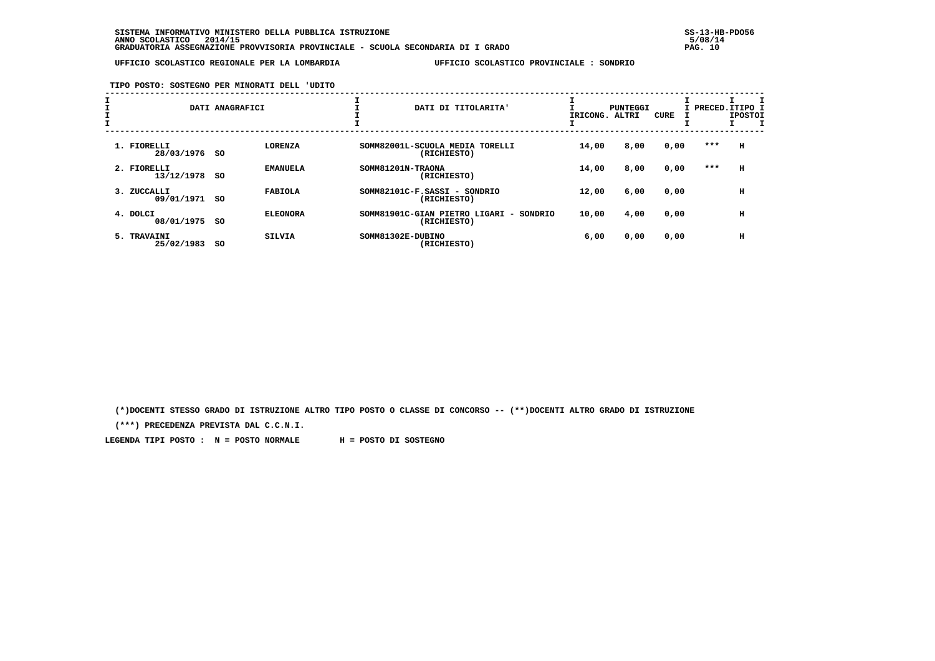**TIPO POSTO: SOSTEGNO PER MINORATI DELL 'UDITO**

| ᅩ |                              | DATI ANAGRAFICI              | DATI DI TITOLARITA'                                                                 | IRICONG. | PUNTEGGI<br>ALTRI | <b>CURE</b> |       | I PRECED.ITIPO I<br><b>IPOSTOI</b> |
|---|------------------------------|------------------------------|-------------------------------------------------------------------------------------|----------|-------------------|-------------|-------|------------------------------------|
|   | 1. FIORELLI<br>28/03/1976 SO | <b>LORENZA</b>               | SOMM82001L-SCUOLA MEDIA TORELLI<br>(RICHIESTO)                                      | 14,00    | 8,00              | 0,00        | $***$ | н                                  |
|   | 2. FIORELLI<br>13/12/1978    | <b>EMANUELA</b><br>-SO       | SOMM81201N-TRAONA<br>(RICHIESTO)                                                    | 14,00    | 8,00              | 0,00        | ***   | н                                  |
|   | 3. ZUCCALLI<br>09/01/1971    | <b>FABIOLA</b><br>-SO        | SOMM82101C-F.SASSI - SONDRIO<br>(RICHIESTO)                                         | 12,00    | 6,00              | 0,00        |       | н                                  |
|   | 4. DOLCI<br>08/01/1975       | <b>ELEONORA</b><br><b>SO</b> | SOMM81901C-GIAN PIETRO LIGARI<br>SONDRIO<br>$\overline{\phantom{0}}$<br>(RICHIESTO) | 10,00    | 4,00              | 0,00        |       | н                                  |
|   | 5. TRAVAINI<br>25/02/1983    | <b>SILVIA</b><br>so          | SOMM81302E-DUBINO<br>(RICHIESTO)                                                    | 6,00     | 0,00              | 0,00        |       | н                                  |

 **(\*)DOCENTI STESSO GRADO DI ISTRUZIONE ALTRO TIPO POSTO O CLASSE DI CONCORSO -- (\*\*)DOCENTI ALTRO GRADO DI ISTRUZIONE**

 **(\*\*\*) PRECEDENZA PREVISTA DAL C.C.N.I.**